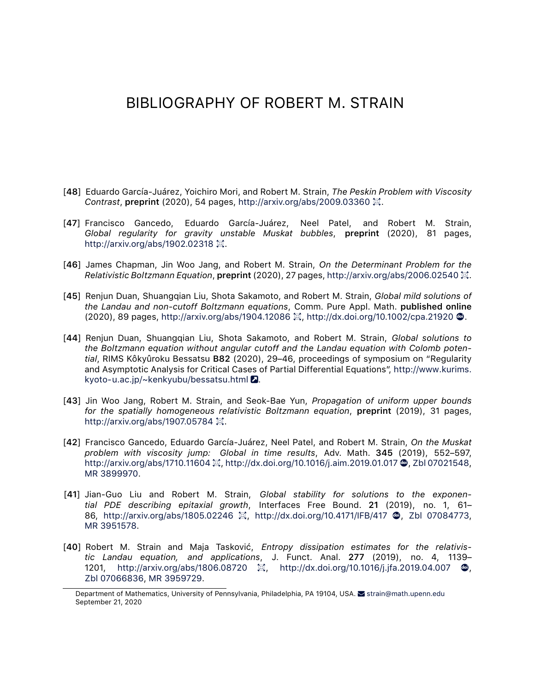## BIBLIOGRAPHY OF ROBERT M. STRAIN

- [48] Eduardo García‑Juárez, Yoichiro Mori, and Robert M. Strain, *The Peskin Problem with Viscosity Contrast, preprint (2020), 54 pages, <http://arxiv.org/abs/2009.03360> 冥.*
- [47] Francisco Gancedo, Eduardo García‑Juárez, Neel Patel, and Robert M. Strain, *Global regularity for gravity unstable Muskat bubbles*, preprint (2020), 81 pages, <http://arxiv.org/abs/1902.02318>  $\ddot{\mathfrak{D}}$ .
- [46] James Chapman, Jin Woo Jang, and Robert M. Strain, *On the Determinant Problem for the Relativistic Boltzmann Equation*, preprint (2020), 27 pages, <http://arxiv.org/abs/2006.02540> .
- [45] Renjun Duan, Shuangqian Liu, Shota Sakamoto, and Robert M. Strain, *Global mild solutions of the Landau and non‑cutoff Boltzmann equations*, Comm. Pure Appl. Math. published online (2020), 89 pages, <http://arxiv.org/abs/1904.12086> 2, <http://dx.doi.org/10.1002/cpa.21920> ...
- [44] Renjun Duan, Shuangqian Liu, Shota Sakamoto, and Robert M. Strain, *Global solutions to the Boltzmann equation without angular cutoff and the Landau equation with Colomb poten‑ tial*, RIMS Kôkyûroku Bessatsu B82 (2020), 29–46, proceedings of symposium on "Regularity and Asymptotic Analysis for Critical Cases of Partial Differential Equations", [http://www.kurims.](http://www.kurims.kyoto-u.ac.jp/~kenkyubu/bessatsu.html) kyoto-u.ac.jp/~kenkyubu/bessatsu.html 2.
- [43] Jin Woo Jang, Robert M. Strain, and Seok‑Bae Yun, *Propagation of uniform upper bounds for the spatially homogeneous relativistic Boltzmann equation*, preprint (2019), 31 pages, <http://arxiv.org/abs/1907.05784>  $\ddot{\otimes}$ .
- [42] Francisco Gancedo, Eduardo García‑Juárez, Neel Patel, and Robert M. Strain, *On the Muskat problem with viscosity jump: Global in time results*, Adv. Math. 345 (2019), 552–597, <http://arxiv.org/abs/1710.11604>  $\ddot{\mathfrak{A}}$ , <http://dx.doi.org/10.1016/j.aim.2019.01.017>  $\ddot{\mathfrak{D}}$ , [Zbl 07021548](https://zbmath.org/07021548), [MR 3899970](http://www.ams.org/mathscinet-getitem?mr=3899970).
- [41] Jian-Guo Liu and Robert M. Strain, *Global stability for solutions to the exponential PDE describing epitaxial growth*, Interfaces Free Bound. 21 (2019), no. 1, 61– 86, <http://arxiv.org/abs/1805.02246>  $\Xi$ , <http://dx.doi.org/10.4171/IFB/417>  $\Phi$ , [Zbl 07084773](https://zbmath.org/07084773), [MR 3951578](http://www.ams.org/mathscinet-getitem?mr=3951578).
- [40] Robert M. Strain and Maja Tasković, *Entropy dissipation estimates for the relativis‑ tic Landau equation, and applications*, J. Funct. Anal. 277 (2019), no. 4, 1139– 1201, <http://arxiv.org/abs/1806.08720>  $\Xi$ , <http://dx.doi.org/10.1016/j.jfa.2019.04.007>  $\Phi$ , [Zbl 07066836](https://zbmath.org/07066836), [MR 3959729](http://www.ams.org/mathscinet-getitem?mr=3959729).

Department of Mathematics, University of Pennsylvania, Philadelphia, PA 19104, USA. [strain@math.upenn.edu](mailto:strain@math.upenn.edu) September 21, 2020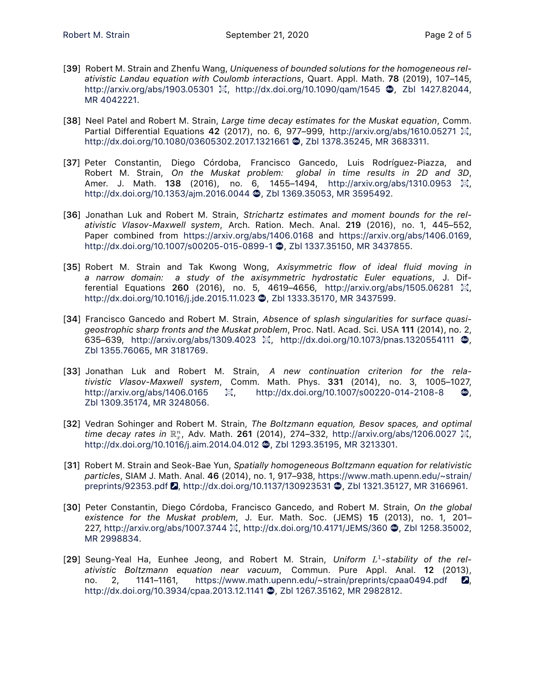- [39] Robert M. Strain and Zhenfu Wang, *Uniqueness of bounded solutions for the homogeneous rel‑ ativistic Landau equation with Coulomb interactions*, Quart. Appl. Math. 78 (2019), 107–145, <http://arxiv.org/abs/1903.05301>  $\Xi$ , <http://dx.doi.org/10.1090/qam/1545>  $\Phi$ , [Zbl 1427.82044](https://zbmath.org/1427.82044), [MR 4042221.](http://www.ams.org/mathscinet-getitem?mr=4042221)
- [38] Neel Patel and Robert M. Strain, *Large time decay estimates for the Muskat equation*, Comm. Partial Differential Equations 42 (2017), no. 6, 977–999, <http://arxiv.org/abs/1610.05271>  $\ddot{\mathbb{E}}$ . <http://dx.doi.org/10.1080/03605302.2017.1321661> . [Zbl 1378.35245,](https://zbmath.org/1378.35245) [MR 3683311](http://www.ams.org/mathscinet-getitem?mr=3683311).
- [37] Peter Constantin, Diego Córdoba, Francisco Gancedo, Luis Rodríguez-Piazza, and Robert M. Strain, *On the Muskat problem: global in time results in 2D and 3D*, Amer. J. Math. 138 (2016), no. 6, 1455–1494, <http://arxiv.org/abs/1310.0953> 2. <http://dx.doi.org/10.1353/ajm.2016.0044> , [Zbl 1369.35053,](https://zbmath.org/1369.35053) [MR 3595492](http://www.ams.org/mathscinet-getitem?mr=3595492).
- [36] Jonathan Luk and Robert M. Strain, *Strichartz estimates and moment bounds for the rel‑ ativistic Vlasov‑Maxwell system*, Arch. Ration. Mech. Anal. 219 (2016), no. 1, 445–552, Paper combined from <https://arxiv.org/abs/1406.0168> and <https://arxiv.org/abs/1406.0169>, http://dx.doi.org/10.1007/s00205-015-0899-1 . [Zbl 1337.35150,](https://zbmath.org/1337.35150) [MR 3437855](http://www.ams.org/mathscinet-getitem?mr=3437855).
- [35] Robert M. Strain and Tak Kwong Wong, *Axisymmetric flow of ideal fluid moving in a narrow domain: a study of the axisymmetric hydrostatic Euler equations*, J. Dif‑ ferential Equations 260 (2016), no. 5, 4619-4656, <http://arxiv.org/abs/1505.06281>  $\Im$ , <http://dx.doi.org/10.1016/j.jde.2015.11.023> , [Zbl 1333.35170](https://zbmath.org/1333.35170), [MR 3437599.](http://www.ams.org/mathscinet-getitem?mr=3437599)
- [34] Francisco Gancedo and Robert M. Strain, *Absence of splash singularities for surface quasi‑ geostrophic sharp fronts and the Muskat problem*, Proc. Natl. Acad. Sci. USA 111 (2014), no. 2, 635–639, <http://arxiv.org/abs/1309.4023> **¤, <http://dx.doi.org/10.1073/pnas.1320554111> ◎**, [Zbl 1355.76065](https://zbmath.org/1355.76065), [MR 3181769](http://www.ams.org/mathscinet-getitem?mr=3181769).
- [33] Jonathan Luk and Robert M. Strain, *A new continuation criterion for the rela‑ tivistic Vlasov‑Maxwell system*, Comm. Math. Phys. 331 (2014), no. 3, 1005–1027, <http://arxiv.org/abs/1406.0165> **读, http://dx.doi.org/10.1007/s00220-014-2108-8 @**, [Zbl 1309.35174](https://zbmath.org/1309.35174), [MR 3248056.](http://www.ams.org/mathscinet-getitem?mr=3248056)
- [32] Vedran Sohinger and Robert M. Strain, *The Boltzmann equation, Besov spaces, and optimal time decay rates in* R *n x* , Adv. Math. 261 (2014), 274–332, <http://arxiv.org/abs/1206.0027> , <http://dx.doi.org/10.1016/j.aim.2014.04.012> . [Zbl 1293.35195](https://zbmath.org/1293.35195), [MR 3213301](http://www.ams.org/mathscinet-getitem?mr=3213301).
- [31] Robert M. Strain and Seok‑Bae Yun, *Spatially homogeneous Boltzmann equation for relativistic particles*, SIAM J. Math. Anal. 46 (2014), no. 1, 917–938, [https://www.math.upenn.edu/~strain/](https://www.math.upenn.edu/~strain/preprints/92353.pdf) [preprints/92353.pdf](https://www.math.upenn.edu/~strain/preprints/92353.pdf)  $\Box$ , <http://dx.doi.org/10.1137/130923531> , [Zbl 1321.35127](https://zbmath.org/1321.35127), [MR 3166961.](http://www.ams.org/mathscinet-getitem?mr=3166961)
- [30] Peter Constantin, Diego Córdoba, Francisco Gancedo, and Robert M. Strain, *On the global existence for the Muskat problem*, J. Eur. Math. Soc. (JEMS) 15 (2013), no. 1, 201– 227, <http://arxiv.org/abs/1007.3744> 冥, <http://dx.doi.org/10.4171/JEMS/360> @, [Zbl 1258.35002](https://zbmath.org/1258.35002), [MR 2998834](http://www.ams.org/mathscinet-getitem?mr=2998834).
- [29] Seung-Yeal Ha, Eunhee Jeong, and Robert M. Strain, *Uniform L<sup>1</sup>-stability of the relativistic Boltzmann equation near vacuum*, Commun. Pure Appl. Anal. 12 (2013), no. 2, 1141–1161, <https://www.math.upenn.edu/~strain/preprints/cpaa0494.pdf> **2**, <http://dx.doi.org/10.3934/cpaa.2013.12.1141> . [Zbl 1267.35162](https://zbmath.org/1267.35162), [MR 2982812.](http://www.ams.org/mathscinet-getitem?mr=2982812)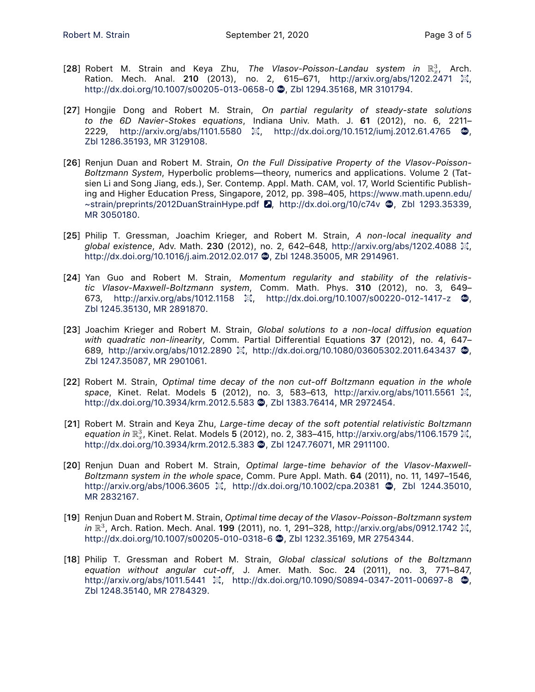- [28] Robert M. Strain and Keya Zhu, The Vlasov-Poisson-Landau system in  $\mathbb{R}^3_{x}$ , Arch. Ration. Mech. Anal. 210 (2013), no. 2, 615-671, <http://arxiv.org/abs/1202.2471> 2. http://dx.doi.org/10.1007/s00205-013-0658-0 , [Zbl 1294.35168,](https://zbmath.org/1294.35168) [MR 3101794.](http://www.ams.org/mathscinet-getitem?mr=3101794)
- [27] Hongjie Dong and Robert M. Strain, *On partial regularity of steady‑state solutions to the 6D Navier‑Stokes equations*, Indiana Univ. Math. J. 61 (2012), no. 6, 2211– 2229, <http://arxiv.org/abs/1101.5580> 2. <http://dx.doi.org/10.1512/iumj.2012.61.4765> **@**, [Zbl 1286.35193](https://zbmath.org/1286.35193), [MR 3129108.](http://www.ams.org/mathscinet-getitem?mr=3129108)
- [26] Renjun Duan and Robert M. Strain, *On the Full Dissipative Property of the Vlasov‑Poisson‑ Boltzmann System*, Hyperbolic problems—theory, numerics and applications. Volume 2 (Tat‑ sien Li and Song Jiang, eds.), Ser. Contemp. Appl. Math. CAM, vol. 17, World Scientific Publishing and Higher Education Press, Singapore, 2012, pp. 398–405, [https://www.math.upenn.edu/](https://www.math.upenn.edu/~strain/preprints/2012DuanStrainHype.pdf)  $\sim$ strain/preprints/2012DuanStrainHype.pdf  $\Box$ , <http://dx.doi.org/10/c74v>  $\degree$ , [Zbl 1293.35339](https://zbmath.org/1293.35339), [MR 3050180](http://www.ams.org/mathscinet-getitem?mr=3050180).
- [25] Philip T. Gressman, Joachim Krieger, and Robert M. Strain, *A non‑local inequality and global existence*, Adv. Math. 230 (2012), no. 2, 642–648, <http://arxiv.org/abs/1202.4088> , <http://dx.doi.org/10.1016/j.aim.2012.02.017>  $\bullet$ , [Zbl 1248.35005](https://zbmath.org/1248.35005), [MR 2914961.](http://www.ams.org/mathscinet-getitem?mr=2914961)
- [24] Yan Guo and Robert M. Strain, *Momentum regularity and stability of the relativis‑ tic Vlasov‑Maxwell‑Boltzmann system*, Comm. Math. Phys. 310 (2012), no. 3, 649– 673, <http://arxiv.org/abs/1012.1158> ¤, http://dx.doi.org/10.1007/s00220-012-1417-z **...**, [Zbl 1245.35130,](https://zbmath.org/1245.35130) [MR 2891870](http://www.ams.org/mathscinet-getitem?mr=2891870).
- [23] Joachim Krieger and Robert M. Strain, *Global solutions to a non‑local diffusion equation with quadratic non‑linearity*, Comm. Partial Differential Equations 37 (2012), no. 4, 647– 689, <http://arxiv.org/abs/1012.2890>  $\ddot{\mathbb{E}}$ , <http://dx.doi.org/10.1080/03605302.2011.643437>  $\ddot{\mathbb{D}}$ , [Zbl 1247.35087,](https://zbmath.org/1247.35087) [MR 2901061](http://www.ams.org/mathscinet-getitem?mr=2901061).
- [22] Robert M. Strain, *Optimal time decay of the non cut-off Boltzmann equation in the whole* **space, Kinet. Relat. Models 5 (2012), no. 3, 583–613, <http://arxiv.org/abs/1011.5561>** 2, <http://dx.doi.org/10.3934/krm.2012.5.583> . [Zbl 1383.76414](https://zbmath.org/1383.76414), [MR 2972454.](http://www.ams.org/mathscinet-getitem?mr=2972454)
- [21] Robert M. Strain and Keya Zhu, *Large-time decay of the soft potential relativistic Boltzmann equation in* R 3 *x* , Kinet. Relat. Models 5 (2012), no. 2, 383–415, <http://arxiv.org/abs/1106.1579> , <http://dx.doi.org/10.3934/krm.2012.5.383> . [Zbl 1247.76071](https://zbmath.org/1247.76071), [MR 2911100](http://www.ams.org/mathscinet-getitem?mr=2911100).
- [20] Renjun Duan and Robert M. Strain, *Optimal large‑time behavior of the Vlasov‑Maxwell‑ Boltzmann system in the whole space*, Comm. Pure Appl. Math. 64 (2011), no. 11, 1497–1546, <http://arxiv.org/abs/1006.3605> 算, <http://dx.doi.org/10.1002/cpa.20381> **@**, [Zbl 1244.35010](https://zbmath.org/1244.35010), [MR 2832167](http://www.ams.org/mathscinet-getitem?mr=2832167).
- [19] Renjun Duan and Robert M. Strain, *Optimal time decay of the Vlasov‑Poisson‑Boltzmann system in* R 3 , Arch. Ration. Mech. Anal. 199 (2011), no. 1, 291–328, <http://arxiv.org/abs/0912.1742> , http://dx.doi.org/10.1007/s00205-010-0318-6 . [Zbl 1232.35169,](https://zbmath.org/1232.35169) [MR 2754344](http://www.ams.org/mathscinet-getitem?mr=2754344).
- [18] Philip T. Gressman and Robert M. Strain, *Global classical solutions of the Boltzmann equation without angular cut‑off*, J. Amer. Math. Soc. 24 (2011), no. 3, 771–847, <http://arxiv.org/abs/1011.5441> ҈, http://dx.doi.org/10.1090/S0894-0347-2011-00697-8  $\bullet$ , [Zbl 1248.35140](https://zbmath.org/1248.35140), [MR 2784329](http://www.ams.org/mathscinet-getitem?mr=2784329).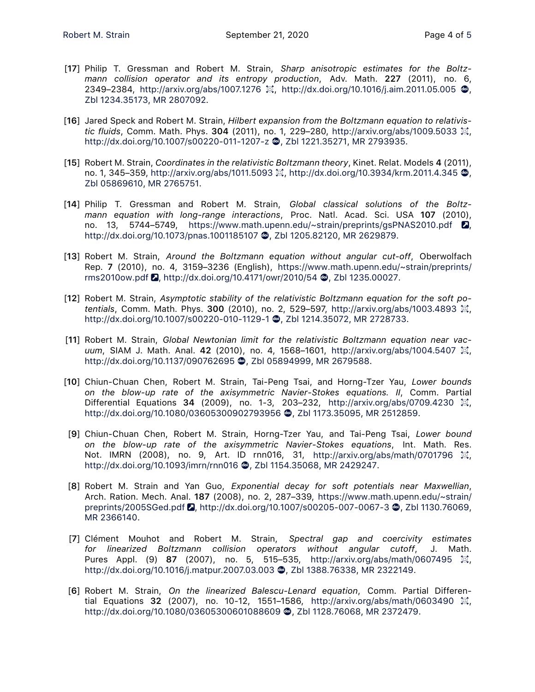- [17] Philip T. Gressman and Robert M. Strain, *Sharp anisotropic estimates for the Boltz‑ mann collision operator and its entropy production*, Adv. Math. 227 (2011), no. 6, 2349–2384, <http://arxiv.org/abs/1007.1276> 2, <http://dx.doi.org/10.1016/j.aim.2011.05.005> **◎**, [Zbl 1234.35173](https://zbmath.org/1234.35173), [MR 2807092.](http://www.ams.org/mathscinet-getitem?mr=2807092)
- [16] Jared Speck and Robert M. Strain, *Hilbert expansion from the Boltzmann equation to relativis‑* tic fluids, Comm. Math. Phys. **304** (2011), no. 1, 229–280, <http://arxiv.org/abs/1009.5033> **算**, http://dx.doi.org/10.1007/s00220-011-1207-z , [Zbl 1221.35271](https://zbmath.org/1221.35271), [MR 2793935](http://www.ams.org/mathscinet-getitem?mr=2793935).
- [15] Robert M. Strain, *Coordinates in the relativistic Boltzmann theory*, Kinet. Relat. Models 4 (2011), no. 1, 345–359, <http://arxiv.org/abs/1011.5093> **@, <http://dx.doi.org/10.3934/krm.2011.4.345> @,** [Zbl 05869610,](https://zbmath.org/05869610) [MR 2765751.](http://www.ams.org/mathscinet-getitem?mr=2765751)
- [14] Philip T. Gressman and Robert M. Strain, *Global classical solutions of the Boltz‑ mann equation with long‑range interactions*, Proc. Natl. Acad. Sci. USA 107 (2010), no. 13, 5744–5749, <https://www.math.upenn.edu/~strain/preprints/gsPNAS2010.pdf> 2, <http://dx.doi.org/10.1073/pnas.1001185107> . [Zbl 1205.82120,](https://zbmath.org/1205.82120) [MR 2629879.](http://www.ams.org/mathscinet-getitem?mr=2629879)
- [13] Robert M. Strain, *Around the Boltzmann equation without angular cut‑off*, Oberwolfach Rep. 7 (2010), no. 4, 3159–3236 (English), [https://www.math.upenn.edu/~strain/preprints/](https://www.math.upenn.edu/~strain/preprints/rms2010ow.pdf) [rms2010ow.pdf](https://www.math.upenn.edu/~strain/preprints/rms2010ow.pdf)  $\Box$ , <http://dx.doi.org/10.4171/owr/2010/54>  $\clubsuit$ , [Zbl 1235.00027.](https://zbmath.org/1235.00027)
- [12] Robert M. Strain, *Asymptotic stability of the relativistic Boltzmann equation for the soft po‑* tentials, Comm. Math. Phys. 300 (2010), no. 2, 529-597, <http://arxiv.org/abs/1003.4893> <sup>13</sup>, http://dx.doi.org/10.1007/s00220-010-1129-1 . [Zbl 1214.35072](https://zbmath.org/1214.35072), [MR 2728733](http://www.ams.org/mathscinet-getitem?mr=2728733).
- [11] Robert M. Strain, *Global Newtonian limit for the relativistic Boltzmann equation near vac‑ uum*, SIAM J. Math. Anal. 42 (2010), no. 4, 1568–1601, <http://arxiv.org/abs/1004.5407> **意**, <http://dx.doi.org/10.1137/090762695> . [Zbl 05894999](https://zbmath.org/05894999), [MR 2679588.](http://www.ams.org/mathscinet-getitem?mr=2679588)
- [10] Chiun‑Chuan Chen, Robert M. Strain, Tai‑Peng Tsai, and Horng‑Tzer Yau, *Lower bounds on the blow‑up rate of the axisymmetric Navier‑Stokes equations. II*, Comm. Partial Differential Equations 34 (2009), no. 1-3, 203–232, <http://arxiv.org/abs/0709.4230> 2. <http://dx.doi.org/10.1080/03605300902793956> @, [Zbl 1173.35095,](https://zbmath.org/1173.35095) [MR 2512859](http://www.ams.org/mathscinet-getitem?mr=2512859).
- [9] Chiun‑Chuan Chen, Robert M. Strain, Horng‑Tzer Yau, and Tai‑Peng Tsai, *Lower bound on the blow‑up rate of the axisymmetric Navier‑Stokes equations*, Int. Math. Res. Not. IMRN (2008), no. 9, Art. ID rnn016, 31, <http://arxiv.org/abs/math/0701796> 2. <http://dx.doi.org/10.1093/imrn/rnn016>  $\bullet$ , [Zbl 1154.35068](https://zbmath.org/1154.35068), [MR 2429247](http://www.ams.org/mathscinet-getitem?mr=2429247).
- [8] Robert M. Strain and Yan Guo, *Exponential decay for soft potentials near Maxwellian*, Arch. Ration. Mech. Anal. 187 (2008), no. 2, 287–339, [https://www.math.upenn.edu/~strain/](https://www.math.upenn.edu/~strain/preprints/2005SGed.pdf) [preprints/2005SGed.pdf](https://www.math.upenn.edu/~strain/preprints/2005SGed.pdf) **a**, http://dx.doi.org/10.1007/s00205-007-0067-3 **...** [Zbl 1130.76069](https://zbmath.org/1130.76069), [MR 2366140](http://www.ams.org/mathscinet-getitem?mr=2366140).
- [7] Clément Mouhot and Robert M. Strain, *Spectral gap and coercivity estimates for linearized Boltzmann collision operators without angular cutoff*, J. Math. Pures Appl. (9) 87 (2007), no. 5, 515-535, <http://arxiv.org/abs/math/0607495> 斌, <http://dx.doi.org/10.1016/j.matpur.2007.03.003> . [Zbl 1388.76338,](https://zbmath.org/1388.76338) [MR 2322149](http://www.ams.org/mathscinet-getitem?mr=2322149).
- [6] Robert M. Strain, On the linearized Balescu-Lenard equation, Comm. Partial Differential Equations 32 (2007), no. 10-12, 1551–1586, <http://arxiv.org/abs/math/0603490> 2. <http://dx.doi.org/10.1080/03605300601088609>  $\bullet$ , [Zbl 1128.76068](https://zbmath.org/1128.76068), [MR 2372479](http://www.ams.org/mathscinet-getitem?mr=2372479).